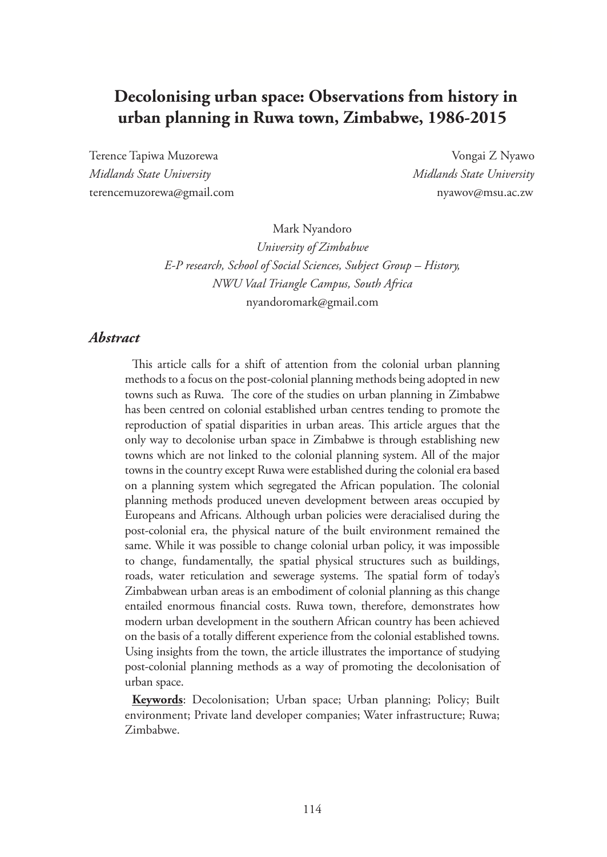# **Decolonising urban space: Observations from history in urban planning in Ruwa town, Zimbabwe, 1986-2015**

Terence Tapiwa Muzorewa Vongai Z Nyawo *Midlands State University Midlands State University*  terencemuzorewa@gmail.com nyawov@msu.ac.zw

Mark Nyandoro

*University of Zimbabwe E-P research, School of Social Sciences, Subject Group – History, NWU Vaal Triangle Campus, South Africa* nyandoromark@gmail.com

#### *Abstract*

This article calls for a shift of attention from the colonial urban planning methods to a focus on the post-colonial planning methods being adopted in new towns such as Ruwa. The core of the studies on urban planning in Zimbabwe has been centred on colonial established urban centres tending to promote the reproduction of spatial disparities in urban areas. This article argues that the only way to decolonise urban space in Zimbabwe is through establishing new towns which are not linked to the colonial planning system. All of the major towns in the country except Ruwa were established during the colonial era based on a planning system which segregated the African population. The colonial planning methods produced uneven development between areas occupied by Europeans and Africans. Although urban policies were deracialised during the post-colonial era, the physical nature of the built environment remained the same. While it was possible to change colonial urban policy, it was impossible to change, fundamentally, the spatial physical structures such as buildings, roads, water reticulation and sewerage systems. The spatial form of today's Zimbabwean urban areas is an embodiment of colonial planning as this change entailed enormous financial costs. Ruwa town, therefore, demonstrates how modern urban development in the southern African country has been achieved on the basis of a totally different experience from the colonial established towns. Using insights from the town, the article illustrates the importance of studying post-colonial planning methods as a way of promoting the decolonisation of urban space.

**Keywords**: Decolonisation; Urban space; Urban planning; Policy; Built environment; Private land developer companies; Water infrastructure; Ruwa; Zimbabwe.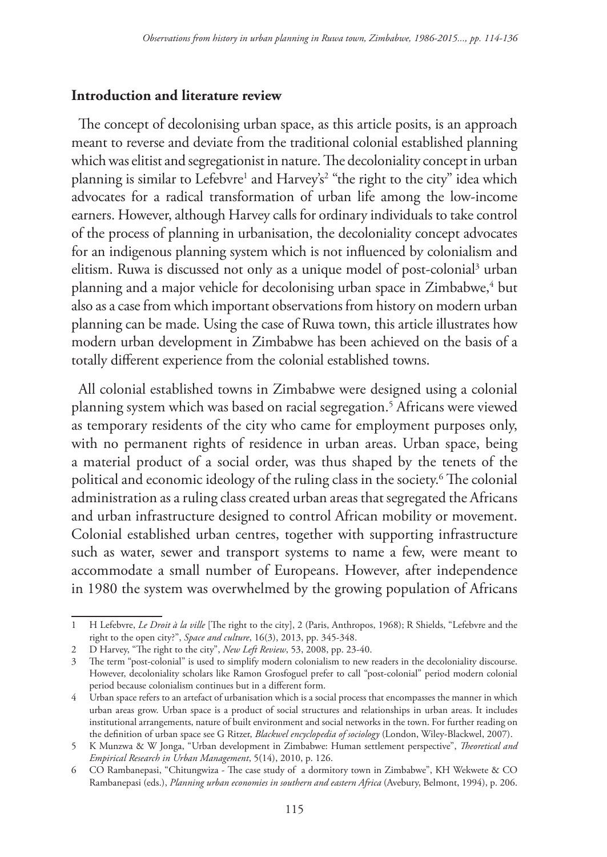## **Introduction and literature review**

The concept of decolonising urban space, as this article posits, is an approach meant to reverse and deviate from the traditional colonial established planning which was elitist and segregationist in nature. The decoloniality concept in urban planning is similar to Lefebvre<sup>1</sup> and Harvey's<sup>2</sup> "the right to the city" idea which advocates for a radical transformation of urban life among the low-income earners. However, although Harvey calls for ordinary individuals to take control of the process of planning in urbanisation, the decoloniality concept advocates for an indigenous planning system which is not influenced by colonialism and elitism. Ruwa is discussed not only as a unique model of post-colonial<sup>3</sup> urban planning and a major vehicle for decolonising urban space in Zimbabwe,<sup>4</sup> but also as a case from which important observations from history on modern urban planning can be made. Using the case of Ruwa town, this article illustrates how modern urban development in Zimbabwe has been achieved on the basis of a totally different experience from the colonial established towns.

All colonial established towns in Zimbabwe were designed using a colonial planning system which was based on racial segregation.5 Africans were viewed as temporary residents of the city who came for employment purposes only, with no permanent rights of residence in urban areas. Urban space, being a material product of a social order, was thus shaped by the tenets of the political and economic ideology of the ruling class in the society.6 The colonial administration as a ruling class created urban areas that segregated the Africans and urban infrastructure designed to control African mobility or movement. Colonial established urban centres, together with supporting infrastructure such as water, sewer and transport systems to name a few, were meant to accommodate a small number of Europeans. However, after independence in 1980 the system was overwhelmed by the growing population of Africans

<sup>1</sup> H Lefebvre, *Le Droit à la ville* [The right to the city], 2 (Paris, Anthropos, 1968); R Shields, "Lefebvre and the right to the open city?", *Space and culture*, 16(3), 2013, pp. 345-348.

<sup>2</sup> D Harvey, "The right to the city", *New Left Review*, 53, 2008, pp. 23-40.

<sup>3</sup> The term "post-colonial" is used to simplify modern colonialism to new readers in the decoloniality discourse. However, decoloniality scholars like Ramon Grosfoguel prefer to call "post-colonial" period modern colonial period because colonialism continues but in a different form.

<sup>4</sup> Urban space refers to an artefact of urbanisation which is a social process that encompasses the manner in which urban areas grow. Urban space is a product of social structures and relationships in urban areas. It includes institutional arrangements, nature of built environment and social networks in the town. For further reading on the definition of urban space see G Ritzer, *Blackwel encyclopedia of sociology* (London, Wiley-Blackwel, 2007).

<sup>5</sup> K Munzwa & W Jonga, "Urban development in Zimbabwe: Human settlement perspective", *Theoretical and Empirical Research in Urban Management*, 5(14), 2010, p. 126.

<sup>6</sup> CO Rambanepasi, "Chitungwiza - The case study of a dormitory town in Zimbabwe", KH Wekwete & CO Rambanepasi (eds.), *Planning urban economies in southern and eastern Africa* (Avebury, Belmont, 1994), p. 206.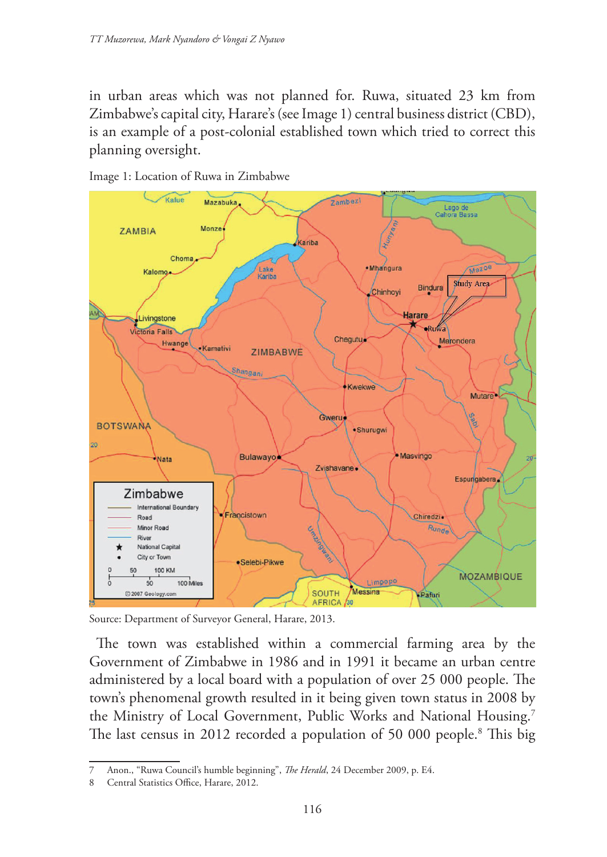in urban areas which was not planned for. Ruwa, situated 23 km from Zimbabwe's capital city, Harare's (see Image 1) central business district (CBD), is an example of a post-colonial established town which tried to correct this planning oversight.





Source: Department of Surveyor General, Harare, 2013.

The town was established within a commercial farming area by the Government of Zimbabwe in 1986 and in 1991 it became an urban centre administered by a local board with a population of over 25 000 people. The town's phenomenal growth resulted in it being given town status in 2008 by the Ministry of Local Government, Public Works and National Housing.<sup>7</sup> The last census in 2012 recorded a population of 50 000 people.<sup>8</sup> This big

<sup>7</sup> Anon., "Ruwa Council's humble beginning", *The Herald*, 24 December 2009, p. E4.

<sup>8</sup> Central Statistics Office, Harare, 2012.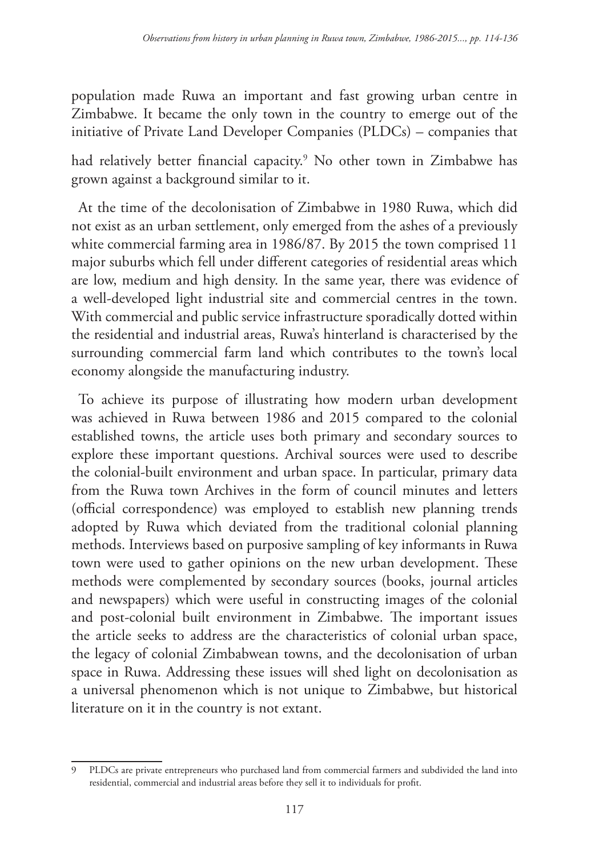population made Ruwa an important and fast growing urban centre in Zimbabwe. It became the only town in the country to emerge out of the initiative of Private Land Developer Companies (PLDCs) – companies that

had relatively better financial capacity.9 No other town in Zimbabwe has grown against a background similar to it.

At the time of the decolonisation of Zimbabwe in 1980 Ruwa, which did not exist as an urban settlement, only emerged from the ashes of a previously white commercial farming area in 1986/87. By 2015 the town comprised 11 major suburbs which fell under different categories of residential areas which are low, medium and high density. In the same year, there was evidence of a well-developed light industrial site and commercial centres in the town. With commercial and public service infrastructure sporadically dotted within the residential and industrial areas, Ruwa's hinterland is characterised by the surrounding commercial farm land which contributes to the town's local economy alongside the manufacturing industry.

To achieve its purpose of illustrating how modern urban development was achieved in Ruwa between 1986 and 2015 compared to the colonial established towns, the article uses both primary and secondary sources to explore these important questions. Archival sources were used to describe the colonial-built environment and urban space. In particular, primary data from the Ruwa town Archives in the form of council minutes and letters (official correspondence) was employed to establish new planning trends adopted by Ruwa which deviated from the traditional colonial planning methods. Interviews based on purposive sampling of key informants in Ruwa town were used to gather opinions on the new urban development. These methods were complemented by secondary sources (books, journal articles and newspapers) which were useful in constructing images of the colonial and post-colonial built environment in Zimbabwe. The important issues the article seeks to address are the characteristics of colonial urban space, the legacy of colonial Zimbabwean towns, and the decolonisation of urban space in Ruwa. Addressing these issues will shed light on decolonisation as a universal phenomenon which is not unique to Zimbabwe, but historical literature on it in the country is not extant.

<sup>9</sup> PLDCs are private entrepreneurs who purchased land from commercial farmers and subdivided the land into residential, commercial and industrial areas before they sell it to individuals for profit.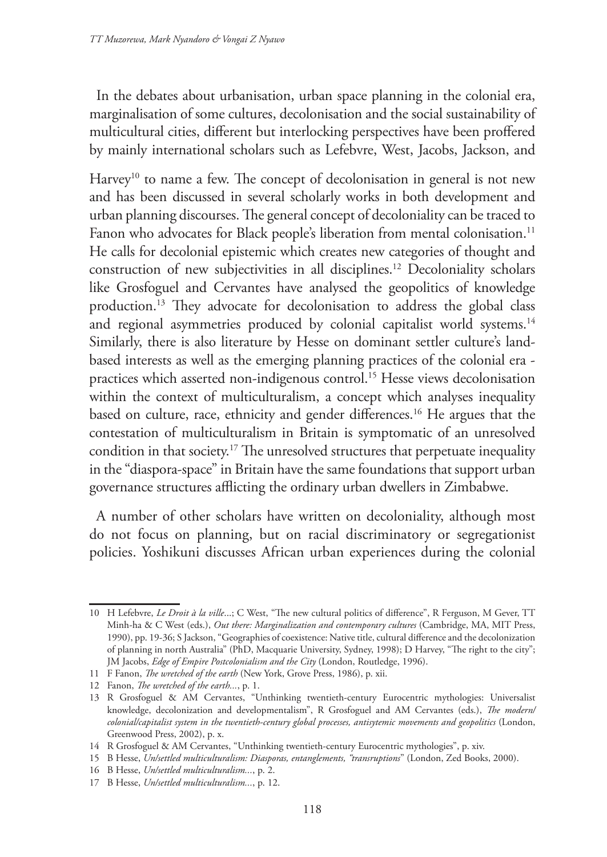In the debates about urbanisation, urban space planning in the colonial era, marginalisation of some cultures, decolonisation and the social sustainability of multicultural cities, different but interlocking perspectives have been proffered by mainly international scholars such as Lefebvre, West, Jacobs, Jackson, and

Harvey<sup>10</sup> to name a few. The concept of decolonisation in general is not new and has been discussed in several scholarly works in both development and urban planning discourses. The general concept of decoloniality can be traced to Fanon who advocates for Black people's liberation from mental colonisation.<sup>11</sup> He calls for decolonial epistemic which creates new categories of thought and construction of new subjectivities in all disciplines.12 Decoloniality scholars like Grosfoguel and Cervantes have analysed the geopolitics of knowledge production.13 They advocate for decolonisation to address the global class and regional asymmetries produced by colonial capitalist world systems.<sup>14</sup> Similarly, there is also literature by Hesse on dominant settler culture's land‐ based interests as well as the emerging planning practices of the colonial era practices which asserted non‐indigenous control.15 Hesse views decolonisation within the context of multiculturalism, a concept which analyses inequality based on culture, race, ethnicity and gender differences.<sup>16</sup> He argues that the contestation of multiculturalism in Britain is symptomatic of an unresolved condition in that society.17 The unresolved structures that perpetuate inequality in the "diaspora-space" in Britain have the same foundations that support urban governance structures afflicting the ordinary urban dwellers in Zimbabwe.

A number of other scholars have written on decoloniality, although most do not focus on planning, but on racial discriminatory or segregationist policies. Yoshikuni discusses African urban experiences during the colonial

<sup>10</sup> H Lefebvre, *Le Droit à la ville*...; C West, "The new cultural politics of difference", R Ferguson, M Gever, TT Minh-ha & C West (eds.), *Out there: Marginalization and contemporary cultures* (Cambridge, MA, MIT Press, 1990), pp. 19-36; S Jackson, "Geographies of coexistence: Native title, cultural difference and the decolonization of planning in north Australia" (PhD, Macquarie University, Sydney, 1998); D Harvey, "The right to the city"; JM Jacobs, *Edge of Empire Postcolonialism and the City* (London, Routledge, 1996).

<sup>11</sup> F Fanon, *The wretched of the earth* (New York, Grove Press, 1986), p. xii.

<sup>12</sup> Fanon, *The wretched of the earth...*, p. 1.

<sup>13</sup> R Grosfoguel & AM Cervantes, "Unthinking twentieth-century Eurocentric mythologies: Universalist knowledge, decolonization and developmentalism", R Grosfoguel and AM Cervantes (eds.), *The modern/ colonial/capitalist system in the twentieth-century global processes, antisytemic movements and geopolitics* (London, Greenwood Press, 2002), p. x.

<sup>14</sup> R Grosfoguel & AM Cervantes, "Unthinking twentieth-century Eurocentric mythologies", p. xiv.

<sup>15</sup> B Hesse, *Un/settled multiculturalism: Diasporas, entanglements, "transruptions*" (London, Zed Books, 2000).

<sup>16</sup> B Hesse, *Un/settled multiculturalism...*, p. 2.

<sup>17</sup> B Hesse, *Un/settled multiculturalism...*, p. 12.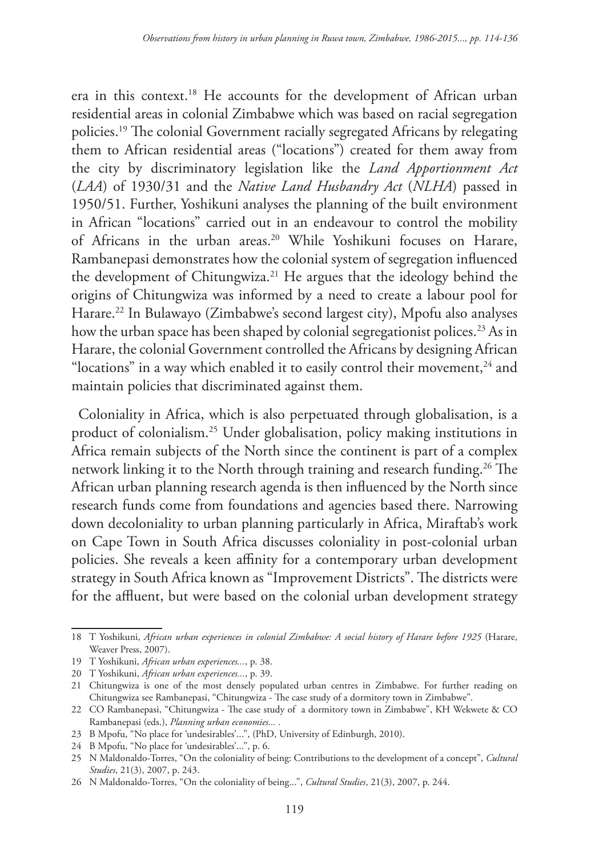era in this context.18 He accounts for the development of African urban residential areas in colonial Zimbabwe which was based on racial segregation policies.19 The colonial Government racially segregated Africans by relegating them to African residential areas ("locations") created for them away from the city by discriminatory legislation like the *Land Apportionment Act* (*LAA*) of 1930/31 and the *Native Land Husbandry Act* (*NLHA*) passed in 1950/51. Further, Yoshikuni analyses the planning of the built environment in African "locations" carried out in an endeavour to control the mobility of Africans in the urban areas.<sup>20</sup> While Yoshikuni focuses on Harare, Rambanepasi demonstrates how the colonial system of segregation influenced the development of Chitungwiza.<sup>21</sup> He argues that the ideology behind the origins of Chitungwiza was informed by a need to create a labour pool for Harare.22 In Bulawayo (Zimbabwe's second largest city), Mpofu also analyses how the urban space has been shaped by colonial segregationist polices.<sup>23</sup> As in Harare, the colonial Government controlled the Africans by designing African "locations" in a way which enabled it to easily control their movement, $^{24}$  and maintain policies that discriminated against them.

Coloniality in Africa, which is also perpetuated through globalisation, is a product of colonialism.25 Under globalisation, policy making institutions in Africa remain subjects of the North since the continent is part of a complex network linking it to the North through training and research funding.26 The African urban planning research agenda is then influenced by the North since research funds come from foundations and agencies based there. Narrowing down decoloniality to urban planning particularly in Africa, Miraftab's work on Cape Town in South Africa discusses coloniality in post-colonial urban policies. She reveals a keen affinity for a contemporary urban development strategy in South Africa known as "Improvement Districts". The districts were for the affluent, but were based on the colonial urban development strategy

<sup>18</sup> T Yoshikuni, *African urban experiences in colonial Zimbabwe: A social history of Harare before 1925* (Harare, Weaver Press, 2007).

<sup>19</sup> T Yoshikuni, *African urban experiences...*, p. 38.

<sup>20</sup> T Yoshikuni, *African urban experiences...*, p. 39.

<sup>21</sup> Chitungwiza is one of the most densely populated urban centres in Zimbabwe. For further reading on Chitungwiza see Rambanepasi, "Chitungwiza - The case study of a dormitory town in Zimbabwe".

<sup>22</sup> CO Rambanepasi, "Chitungwiza - The case study of a dormitory town in Zimbabwe", KH Wekwete & CO Rambanepasi (eds.), *Planning urban economies... .*

<sup>23</sup> B Mpofu, "No place for 'undesirables'...", (PhD, University of Edinburgh, 2010).

<sup>24</sup> B Mpofu, "No place for 'undesirables'...", p. 6.

<sup>25</sup> N Maldonaldo-Torres, "On the coloniality of being: Contributions to the development of a concept", *Cultural Studies*, 21(3), 2007, p. 243.

<sup>26</sup> N Maldonaldo-Torres, "On the coloniality of being...", *Cultural Studies*, 21(3), 2007, p. 244.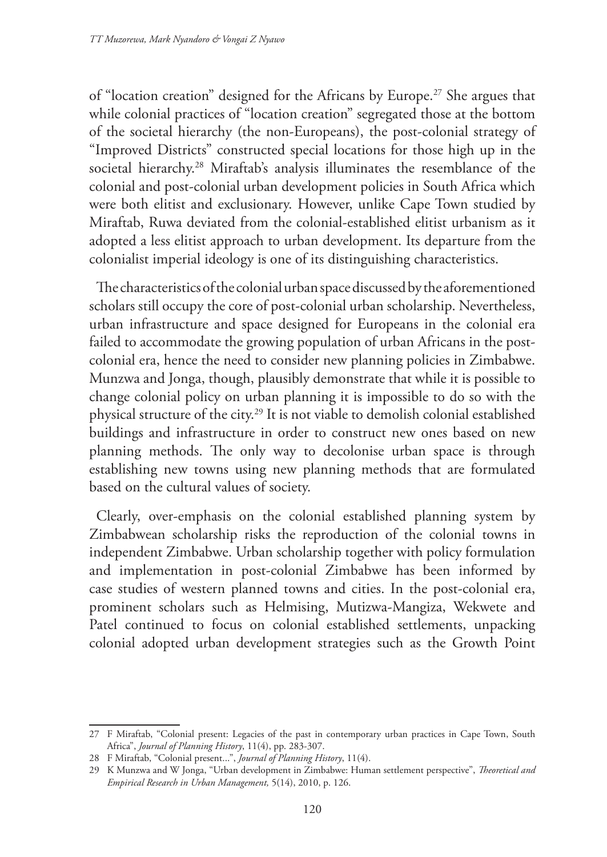of "location creation" designed for the Africans by Europe.27 She argues that while colonial practices of "location creation" segregated those at the bottom of the societal hierarchy (the non-Europeans), the post-colonial strategy of "Improved Districts" constructed special locations for those high up in the societal hierarchy.<sup>28</sup> Miraftab's analysis illuminates the resemblance of the colonial and post-colonial urban development policies in South Africa which were both elitist and exclusionary. However, unlike Cape Town studied by Miraftab, Ruwa deviated from the colonial-established elitist urbanism as it adopted a less elitist approach to urban development. Its departure from the colonialist imperial ideology is one of its distinguishing characteristics.

The characteristics of the colonial urban space discussed by the aforementioned scholars still occupy the core of post-colonial urban scholarship. Nevertheless, urban infrastructure and space designed for Europeans in the colonial era failed to accommodate the growing population of urban Africans in the postcolonial era, hence the need to consider new planning policies in Zimbabwe. Munzwa and Jonga, though, plausibly demonstrate that while it is possible to change colonial policy on urban planning it is impossible to do so with the physical structure of the city.29 It is not viable to demolish colonial established buildings and infrastructure in order to construct new ones based on new planning methods. The only way to decolonise urban space is through establishing new towns using new planning methods that are formulated based on the cultural values of society.

Clearly, over-emphasis on the colonial established planning system by Zimbabwean scholarship risks the reproduction of the colonial towns in independent Zimbabwe. Urban scholarship together with policy formulation and implementation in post-colonial Zimbabwe has been informed by case studies of western planned towns and cities. In the post-colonial era, prominent scholars such as Helmising, Mutizwa-Mangiza, Wekwete and Patel continued to focus on colonial established settlements, unpacking colonial adopted urban development strategies such as the Growth Point

<sup>27</sup> F Miraftab, "Colonial present: Legacies of the past in contemporary urban practices in Cape Town, South Africa", *Journal of Planning History*, 11(4), pp. 283-307.

<sup>28</sup> F Miraftab, "Colonial present...", *Journal of Planning History*, 11(4).

<sup>29</sup> K Munzwa and W Jonga, "Urban development in Zimbabwe: Human settlement perspective", *Theoretical and Empirical Research in Urban Management,* 5(14), 2010, p. 126.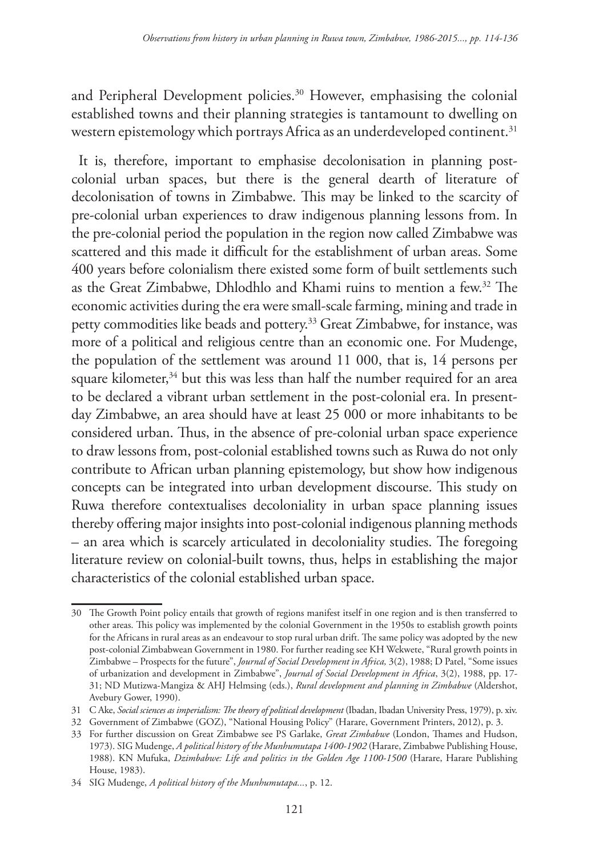and Peripheral Development policies.<sup>30</sup> However, emphasising the colonial established towns and their planning strategies is tantamount to dwelling on western epistemology which portrays Africa as an underdeveloped continent.<sup>31</sup>

It is, therefore, important to emphasise decolonisation in planning postcolonial urban spaces, but there is the general dearth of literature of decolonisation of towns in Zimbabwe. This may be linked to the scarcity of pre-colonial urban experiences to draw indigenous planning lessons from. In the pre-colonial period the population in the region now called Zimbabwe was scattered and this made it difficult for the establishment of urban areas. Some 400 years before colonialism there existed some form of built settlements such as the Great Zimbabwe, Dhlodhlo and Khami ruins to mention a few.32 The economic activities during the era were small-scale farming, mining and trade in petty commodities like beads and pottery.<sup>33</sup> Great Zimbabwe, for instance, was more of a political and religious centre than an economic one. For Mudenge, the population of the settlement was around 11 000, that is, 14 persons per square kilometer, $34$  but this was less than half the number required for an area to be declared a vibrant urban settlement in the post-colonial era. In presentday Zimbabwe, an area should have at least 25 000 or more inhabitants to be considered urban. Thus, in the absence of pre-colonial urban space experience to draw lessons from, post-colonial established towns such as Ruwa do not only contribute to African urban planning epistemology, but show how indigenous concepts can be integrated into urban development discourse. This study on Ruwa therefore contextualises decoloniality in urban space planning issues thereby offering major insights into post-colonial indigenous planning methods – an area which is scarcely articulated in decoloniality studies. The foregoing literature review on colonial-built towns, thus, helps in establishing the major characteristics of the colonial established urban space.

<sup>30</sup> The Growth Point policy entails that growth of regions manifest itself in one region and is then transferred to other areas. This policy was implemented by the colonial Government in the 1950s to establish growth points for the Africans in rural areas as an endeavour to stop rural urban drift. The same policy was adopted by the new post-colonial Zimbabwean Government in 1980. For further reading see KH Wekwete, "Rural growth points in Zimbabwe – Prospects for the future", *Journal of Social Development in Africa,* 3(2), 1988; D Patel, "Some issues of urbanization and development in Zimbabwe", *Journal of Social Development in Africa*, 3(2), 1988, pp. 17- 31; ND Mutizwa-Mangiza & AHJ Helmsing (eds.), *Rural development and planning in Zimbabwe* (Aldershot, Avebury Gower, 1990).

<sup>31</sup> C Ake, *Social sciences as imperialism: The theory of political development* (Ibadan, Ibadan University Press, 1979), p. xiv.

<sup>32</sup> Government of Zimbabwe (GOZ), "National Housing Policy" (Harare, Government Printers, 2012), p. 3.

<sup>33</sup> For further discussion on Great Zimbabwe see PS Garlake, *Great Zimbabwe* (London, Thames and Hudson, 1973). SIG Mudenge, *A political history of the Munhumutapa 1400-1902* (Harare, Zimbabwe Publishing House, 1988). KN Mufuka, *Dzimbabwe: Life and politics in the Golden Age 1100-1500* (Harare, Harare Publishing House, 1983).

<sup>34</sup> SIG Mudenge, *A political history of the Munhumutapa...*, p. 12.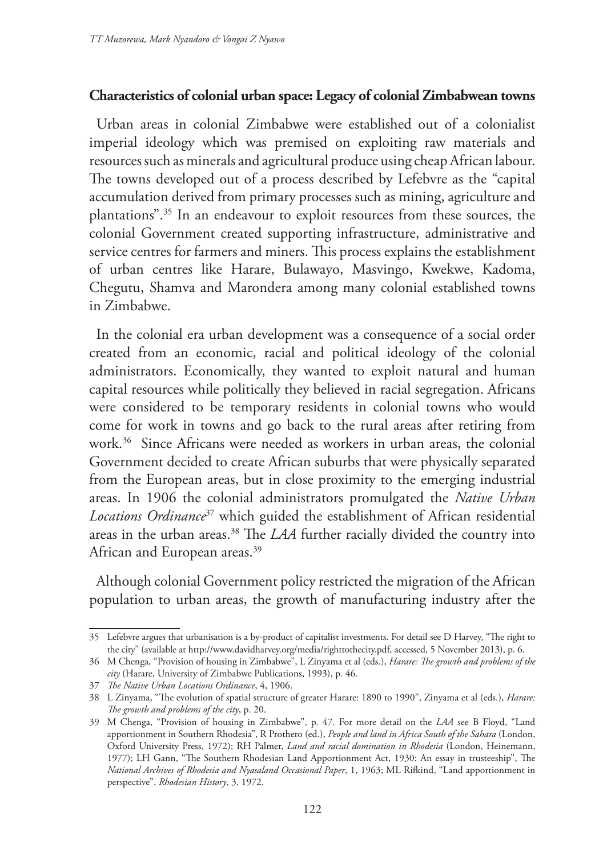#### **Characteristics of colonial urban space: Legacy of colonial Zimbabwean towns**

Urban areas in colonial Zimbabwe were established out of a colonialist imperial ideology which was premised on exploiting raw materials and resources such as minerals and agricultural produce using cheap African labour. The towns developed out of a process described by Lefebvre as the "capital accumulation derived from primary processes such as mining, agriculture and plantations".35 In an endeavour to exploit resources from these sources, the colonial Government created supporting infrastructure, administrative and service centres for farmers and miners. This process explains the establishment of urban centres like Harare, Bulawayo, Masvingo, Kwekwe, Kadoma, Chegutu, Shamva and Marondera among many colonial established towns in Zimbabwe.

In the colonial era urban development was a consequence of a social order created from an economic, racial and political ideology of the colonial administrators. Economically, they wanted to exploit natural and human capital resources while politically they believed in racial segregation. Africans were considered to be temporary residents in colonial towns who would come for work in towns and go back to the rural areas after retiring from work.36 Since Africans were needed as workers in urban areas, the colonial Government decided to create African suburbs that were physically separated from the European areas, but in close proximity to the emerging industrial areas. In 1906 the colonial administrators promulgated the *Native Urban Locations Ordinance*37 which guided the establishment of African residential areas in the urban areas.<sup>38</sup> The *LAA* further racially divided the country into African and European areas.<sup>39</sup>

Although colonial Government policy restricted the migration of the African population to urban areas, the growth of manufacturing industry after the

<sup>35</sup> Lefebvre argues that urbanisation is a by-product of capitalist investments. For detail see D Harvey, "The right to the city" (available at http://www.davidharvey.org/media/righttothecity.pdf, accessed, 5 November 2013), p. 6.

<sup>36</sup> M Chenga, "Provision of housing in Zimbabwe", L Zinyama et al (eds.), *Harare: The growth and problems of the city* (Harare, University of Zimbabwe Publications, 1993), p. 46.

<sup>37</sup> *The Native Urban Locations Ordinance*, 4, 1906.

<sup>38</sup> L Zinyama, "The evolution of spatial structure of greater Harare: 1890 to 1990", Zinyama et al (eds.), *Harare: The growth and problems of the city*, p. 20.

<sup>39</sup> M Chenga, "Provision of housing in Zimbabwe", p. 47. For more detail on the *LAA* see B Floyd, "Land apportionment in Southern Rhodesia", R Prothero (ed.), *People and land in Africa South of the Sahara* (London, Oxford University Press, 1972); RH Palmer, *Land and racial domination in Rhodesia* (London, Heinemann, 1977); LH Gann, "The Southern Rhodesian Land Apportionment Act, 1930: An essay in trusteeship", The *National Archives of Rhodesia and Nyasaland Occasional Paper*, 1, 1963; ML Rifkind, "Land apportionment in perspective", *Rhodesian History*, 3, 1972.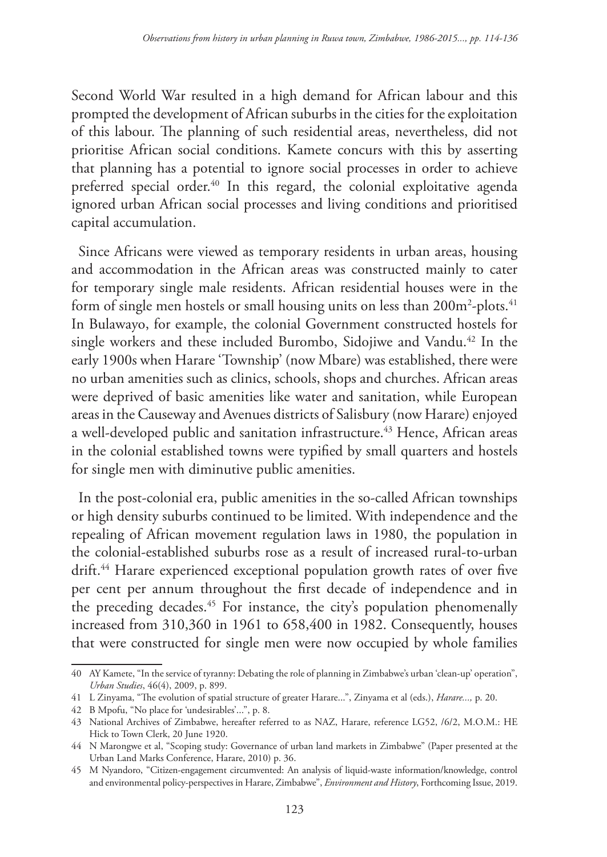Second World War resulted in a high demand for African labour and this prompted the development of African suburbs in the cities for the exploitation of this labour. The planning of such residential areas, nevertheless, did not prioritise African social conditions. Kamete concurs with this by asserting that planning has a potential to ignore social processes in order to achieve preferred special order.<sup>40</sup> In this regard, the colonial exploitative agenda ignored urban African social processes and living conditions and prioritised capital accumulation.

Since Africans were viewed as temporary residents in urban areas, housing and accommodation in the African areas was constructed mainly to cater for temporary single male residents. African residential houses were in the form of single men hostels or small housing units on less than 200m²-plots. $^{\rm 41}$ In Bulawayo, for example, the colonial Government constructed hostels for single workers and these included Burombo, Sidojiwe and Vandu.<sup>42</sup> In the early 1900s when Harare 'Township' (now Mbare) was established, there were no urban amenities such as clinics, schools, shops and churches. African areas were deprived of basic amenities like water and sanitation, while European areas in the Causeway and Avenues districts of Salisbury (now Harare) enjoyed a well-developed public and sanitation infrastructure.<sup>43</sup> Hence, African areas in the colonial established towns were typified by small quarters and hostels for single men with diminutive public amenities.

In the post-colonial era, public amenities in the so-called African townships or high density suburbs continued to be limited. With independence and the repealing of African movement regulation laws in 1980, the population in the colonial-established suburbs rose as a result of increased rural-to-urban drift.<sup>44</sup> Harare experienced exceptional population growth rates of over five per cent per annum throughout the first decade of independence and in the preceding decades.<sup>45</sup> For instance, the city's population phenomenally increased from 310,360 in 1961 to 658,400 in 1982. Consequently, houses that were constructed for single men were now occupied by whole families

<sup>40</sup> AY Kamete, "In the service of tyranny: Debating the role of planning in Zimbabwe's urban 'clean-up' operation", *Urban Studies*, 46(4), 2009, p. 899.

<sup>41</sup> L Zinyama, "The evolution of spatial structure of greater Harare...", Zinyama et al (eds.), *Harare...,* p. 20.

<sup>42</sup> B Mpofu, "No place for 'undesirables'...", p. 8.

<sup>43</sup> National Archives of Zimbabwe, hereafter referred to as NAZ, Harare, reference LG52, /6/2, M.O.M.: HE Hick to Town Clerk, 20 June 1920.

<sup>44</sup> N Marongwe et al, "Scoping study: Governance of urban land markets in Zimbabwe" (Paper presented at the Urban Land Marks Conference, Harare, 2010) p. 36.

<sup>45</sup> M Nyandoro, "Citizen-engagement circumvented: An analysis of liquid-waste information/knowledge, control and environmental policy-perspectives in Harare, Zimbabwe", *Environment and History*, Forthcoming Issue, 2019.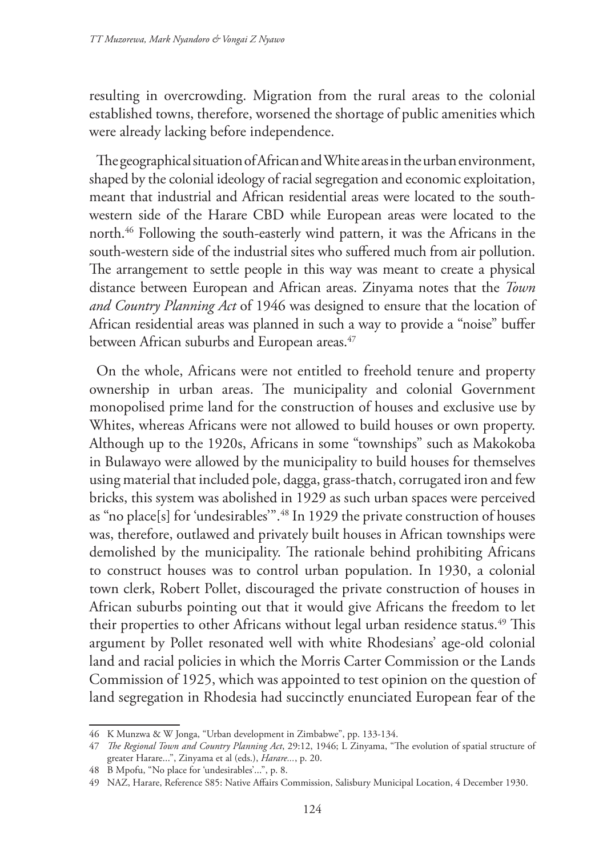resulting in overcrowding. Migration from the rural areas to the colonial established towns, therefore, worsened the shortage of public amenities which were already lacking before independence.

The geographical situation of African and White areas in the urban environment, shaped by the colonial ideology of racial segregation and economic exploitation, meant that industrial and African residential areas were located to the southwestern side of the Harare CBD while European areas were located to the north.46 Following the south-easterly wind pattern, it was the Africans in the south-western side of the industrial sites who suffered much from air pollution. The arrangement to settle people in this way was meant to create a physical distance between European and African areas. Zinyama notes that the *Town and Country Planning Act* of 1946 was designed to ensure that the location of African residential areas was planned in such a way to provide a "noise" buffer between African suburbs and European areas.<sup>47</sup>

On the whole, Africans were not entitled to freehold tenure and property ownership in urban areas. The municipality and colonial Government monopolised prime land for the construction of houses and exclusive use by Whites, whereas Africans were not allowed to build houses or own property. Although up to the 1920s, Africans in some "townships" such as Makokoba in Bulawayo were allowed by the municipality to build houses for themselves using material that included pole, dagga, grass-thatch, corrugated iron and few bricks, this system was abolished in 1929 as such urban spaces were perceived as "no place[s] for 'undesirables'".48 In 1929 the private construction of houses was, therefore, outlawed and privately built houses in African townships were demolished by the municipality. The rationale behind prohibiting Africans to construct houses was to control urban population. In 1930, a colonial town clerk, Robert Pollet, discouraged the private construction of houses in African suburbs pointing out that it would give Africans the freedom to let their properties to other Africans without legal urban residence status.<sup>49</sup> This argument by Pollet resonated well with white Rhodesians' age-old colonial land and racial policies in which the Morris Carter Commission or the Lands Commission of 1925, which was appointed to test opinion on the question of land segregation in Rhodesia had succinctly enunciated European fear of the

<sup>46</sup> K Munzwa & W Jonga, "Urban development in Zimbabwe", pp. 133-134.

<sup>47</sup> *The Regional Town and Country Planning Act*, 29:12, 1946; L Zinyama, "The evolution of spatial structure of greater Harare...", Zinyama et al (eds.), *Harare...*, p. 20.

<sup>48</sup> B Mpofu, "No place for 'undesirables'...", p. 8.

<sup>49</sup> NAZ, Harare, Reference S85: Native Affairs Commission, Salisbury Municipal Location, 4 December 1930.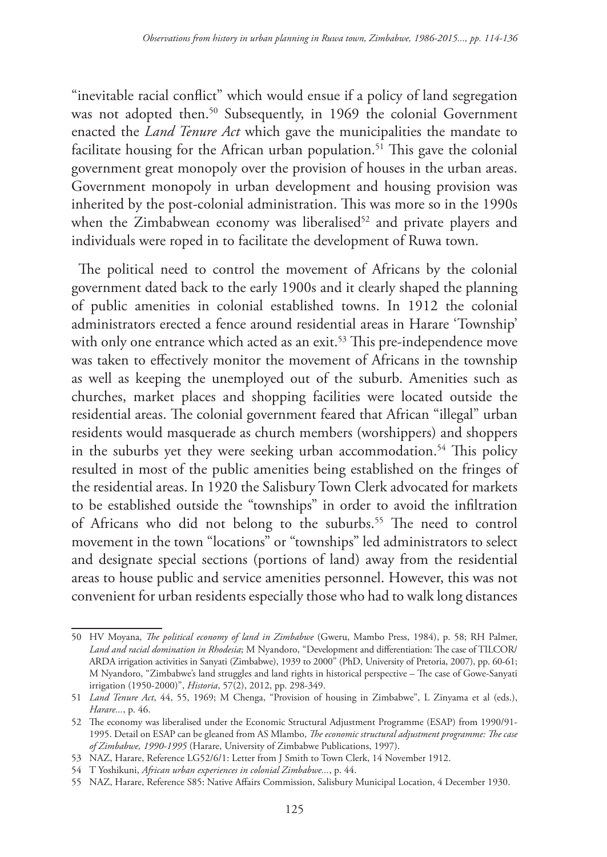"inevitable racial conflict" which would ensue if a policy of land segregation was not adopted then.<sup>50</sup> Subsequently, in 1969 the colonial Government enacted the *Land Tenure Act* which gave the municipalities the mandate to facilitate housing for the African urban population.<sup>51</sup> This gave the colonial government great monopoly over the provision of houses in the urban areas. Government monopoly in urban development and housing provision was inherited by the post-colonial administration. This was more so in the 1990s when the Zimbabwean economy was liberalised<sup>52</sup> and private players and individuals were roped in to facilitate the development of Ruwa town.

The political need to control the movement of Africans by the colonial government dated back to the early 1900s and it clearly shaped the planning of public amenities in colonial established towns. In 1912 the colonial administrators erected a fence around residential areas in Harare 'Township' with only one entrance which acted as an exit.<sup>53</sup> This pre-independence move was taken to effectively monitor the movement of Africans in the township as well as keeping the unemployed out of the suburb. Amenities such as churches, market places and shopping facilities were located outside the residential areas. The colonial government feared that African "illegal" urban residents would masquerade as church members (worshippers) and shoppers in the suburbs yet they were seeking urban accommodation.<sup>54</sup> This policy resulted in most of the public amenities being established on the fringes of the residential areas. In 1920 the Salisbury Town Clerk advocated for markets to be established outside the "townships" in order to avoid the infiltration of Africans who did not belong to the suburbs.<sup>55</sup> The need to control movement in the town "locations" or "townships" led administrators to select and designate special sections (portions of land) away from the residential areas to house public and service amenities personnel. However, this was not convenient for urban residents especially those who had to walk long distances

<sup>50</sup> HV Moyana, *The political economy of land in Zimbabwe* (Gweru, Mambo Press, 1984), p. 58; RH Palmer, *Land and racial domination in Rhodesia*; M Nyandoro, "Development and differentiation: The case of TILCOR/ ARDA irrigation activities in Sanyati (Zimbabwe), 1939 to 2000" (PhD, University of Pretoria, 2007), pp. 60-61; M Nyandoro, "Zimbabwe's land struggles and land rights in historical perspective – The case of Gowe-Sanyati irrigation (1950-2000)", *Historia*, 57(2), 2012, pp. 298-349.

<sup>51</sup> *Land Tenure Act*, 44, 55, 1969; M Chenga, "Provision of housing in Zimbabwe", L Zinyama et al (eds.), *Harare...*, p. 46.

<sup>52</sup> The economy was liberalised under the Economic Structural Adjustment Programme (ESAP) from 1990/91- 1995. Detail on ESAP can be gleaned from AS Mlambo, *The economic structural adjustment programme: The case of Zimbabwe, 1990-1995* (Harare, University of Zimbabwe Publications, 1997).

<sup>53</sup> NAZ, Harare, Reference LG52/6/1: Letter from J Smith to Town Clerk, 14 November 1912.

<sup>54</sup> T Yoshikuni, *African urban experiences in colonial Zimbabwe...*, p. 44.

<sup>55</sup> NAZ, Harare, Reference S85: Native Affairs Commission, Salisbury Municipal Location, 4 December 1930.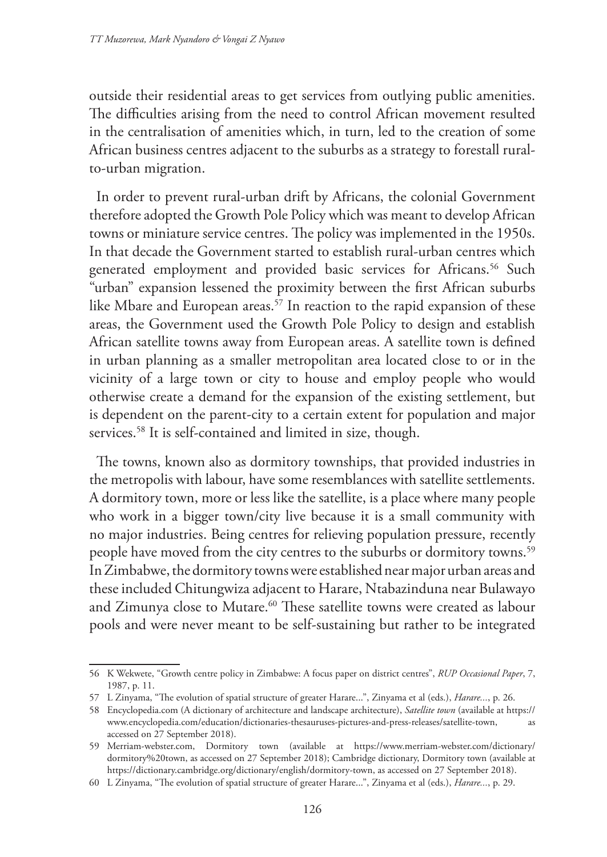outside their residential areas to get services from outlying public amenities. The difficulties arising from the need to control African movement resulted in the centralisation of amenities which, in turn, led to the creation of some African business centres adjacent to the suburbs as a strategy to forestall ruralto-urban migration.

In order to prevent rural-urban drift by Africans, the colonial Government therefore adopted the Growth Pole Policy which was meant to develop African towns or miniature service centres. The policy was implemented in the 1950s. In that decade the Government started to establish rural-urban centres which generated employment and provided basic services for Africans.<sup>56</sup> Such "urban" expansion lessened the proximity between the first African suburbs like Mbare and European areas.<sup>57</sup> In reaction to the rapid expansion of these areas, the Government used the Growth Pole Policy to design and establish African satellite towns away from European areas. A satellite town is defined in urban planning as a smaller metropolitan area located close to or in the vicinity of a large town or city to house and employ people who would otherwise create a demand for the expansion of the existing settlement, but is dependent on the parent-city to a certain extent for population and major services.<sup>58</sup> It is self-contained and limited in size, though.

The towns, known also as dormitory townships, that provided industries in the metropolis with labour, have some resemblances with satellite settlements. A dormitory town, more or less like the satellite, is a place where many people who work in a bigger town/city live because it is a small community with no major industries. Being centres for relieving population pressure, recently people have moved from the city centres to the suburbs or dormitory towns.<sup>59</sup> In Zimbabwe, the dormitory towns were established near major urban areas and these included Chitungwiza adjacent to Harare, Ntabazinduna near Bulawayo and Zimunya close to Mutare.<sup>60</sup> These satellite towns were created as labour pools and were never meant to be self-sustaining but rather to be integrated

<sup>56</sup> K Wekwete, "Growth centre policy in Zimbabwe: A focus paper on district centres", *RUP Occasional Paper*, 7, 1987, p. 11.

<sup>57</sup> L Zinyama, "The evolution of spatial structure of greater Harare...", Zinyama et al (eds.), *Harare...*, p. 26.

<sup>58</sup> Encyclopedia.com (A dictionary of architecture and landscape architecture), *Satellite town* (available at https:// www.encyclopedia.com/education/dictionaries-thesauruses-pictures-and-press-releases/satellite-town, as accessed on 27 September 2018).

<sup>59</sup> Merriam-webster.com, Dormitory town (available at https://www.merriam-webster.com/dictionary/ dormitory%20town, as accessed on 27 September 2018); Cambridge dictionary, Dormitory town (available at https://dictionary.cambridge.org/dictionary/english/dormitory-town, as accessed on 27 September 2018).

<sup>60</sup> L Zinyama, "The evolution of spatial structure of greater Harare...", Zinyama et al (eds.), *Harare...*, p. 29.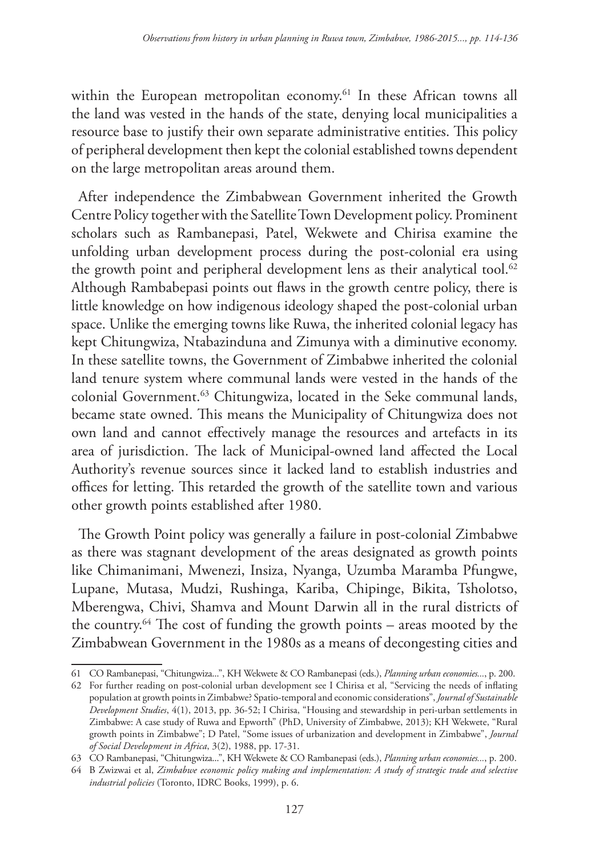within the European metropolitan economy.<sup>61</sup> In these African towns all the land was vested in the hands of the state, denying local municipalities a resource base to justify their own separate administrative entities. This policy of peripheral development then kept the colonial established towns dependent on the large metropolitan areas around them.

After independence the Zimbabwean Government inherited the Growth Centre Policy together with the Satellite Town Development policy. Prominent scholars such as Rambanepasi, Patel, Wekwete and Chirisa examine the unfolding urban development process during the post-colonial era using the growth point and peripheral development lens as their analytical tool.<sup>62</sup> Although Rambabepasi points out flaws in the growth centre policy, there is little knowledge on how indigenous ideology shaped the post-colonial urban space. Unlike the emerging towns like Ruwa, the inherited colonial legacy has kept Chitungwiza, Ntabazinduna and Zimunya with a diminutive economy. In these satellite towns, the Government of Zimbabwe inherited the colonial land tenure system where communal lands were vested in the hands of the colonial Government.<sup>63</sup> Chitungwiza, located in the Seke communal lands, became state owned. This means the Municipality of Chitungwiza does not own land and cannot effectively manage the resources and artefacts in its area of jurisdiction. The lack of Municipal-owned land affected the Local Authority's revenue sources since it lacked land to establish industries and offices for letting. This retarded the growth of the satellite town and various other growth points established after 1980.

The Growth Point policy was generally a failure in post-colonial Zimbabwe as there was stagnant development of the areas designated as growth points like Chimanimani, Mwenezi, Insiza, Nyanga, Uzumba Maramba Pfungwe, Lupane, Mutasa, Mudzi, Rushinga, Kariba, Chipinge, Bikita, Tsholotso, Mberengwa, Chivi, Shamva and Mount Darwin all in the rural districts of the country.64 The cost of funding the growth points – areas mooted by the Zimbabwean Government in the 1980s as a means of decongesting cities and

<sup>61</sup> CO Rambanepasi, "Chitungwiza...", KH Wekwete & CO Rambanepasi (eds.), *Planning urban economies...*, p. 200.

<sup>62</sup> For further reading on post-colonial urban development see I Chirisa et al, "Servicing the needs of inflating population at growth points in Zimbabwe? Spatio-temporal and economic considerations", *Journal of Sustainable Development Studies*, 4(1), 2013, pp. 36-52; I Chirisa, "Housing and stewardship in peri-urban settlements in Zimbabwe: A case study of Ruwa and Epworth" (PhD, University of Zimbabwe, 2013); KH Wekwete, "Rural growth points in Zimbabwe"; D Patel, "Some issues of urbanization and development in Zimbabwe", *Journal of Social Development in Africa*, 3(2), 1988, pp. 17-31.

<sup>63</sup> CO Rambanepasi, "Chitungwiza...", KH Wekwete & CO Rambanepasi (eds.), *Planning urban economies...*, p. 200.

<sup>64</sup> B Zwizwai et al, *Zimbabwe economic policy making and implementation: A study of strategic trade and selective industrial policies* (Toronto, IDRC Books, 1999), p. 6.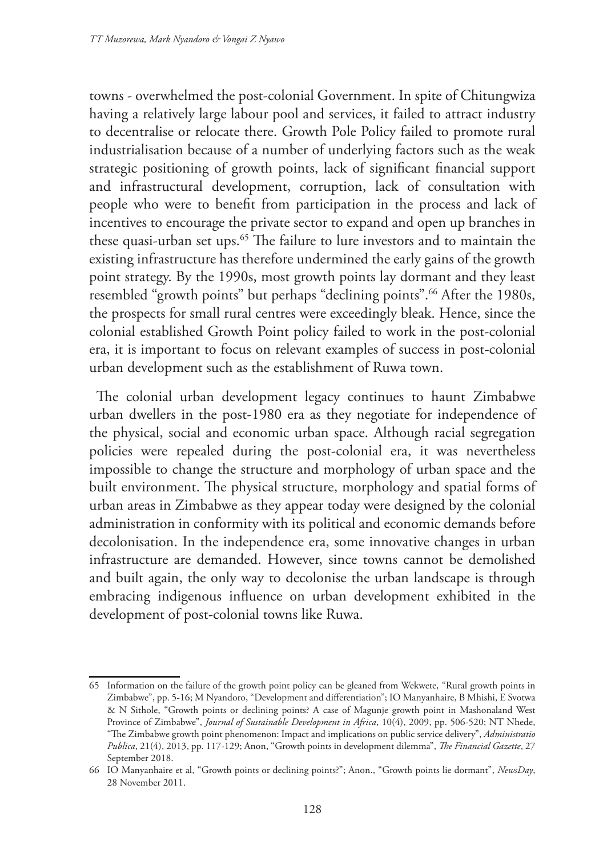towns - overwhelmed the post-colonial Government. In spite of Chitungwiza having a relatively large labour pool and services, it failed to attract industry to decentralise or relocate there. Growth Pole Policy failed to promote rural industrialisation because of a number of underlying factors such as the weak strategic positioning of growth points, lack of significant financial support and infrastructural development, corruption, lack of consultation with people who were to benefit from participation in the process and lack of incentives to encourage the private sector to expand and open up branches in these quasi-urban set ups.<sup>65</sup> The failure to lure investors and to maintain the existing infrastructure has therefore undermined the early gains of the growth point strategy. By the 1990s, most growth points lay dormant and they least resembled "growth points" but perhaps "declining points".<sup>66</sup> After the 1980s, the prospects for small rural centres were exceedingly bleak. Hence, since the colonial established Growth Point policy failed to work in the post-colonial era, it is important to focus on relevant examples of success in post-colonial urban development such as the establishment of Ruwa town.

The colonial urban development legacy continues to haunt Zimbabwe urban dwellers in the post-1980 era as they negotiate for independence of the physical, social and economic urban space. Although racial segregation policies were repealed during the post-colonial era, it was nevertheless impossible to change the structure and morphology of urban space and the built environment. The physical structure, morphology and spatial forms of urban areas in Zimbabwe as they appear today were designed by the colonial administration in conformity with its political and economic demands before decolonisation. In the independence era, some innovative changes in urban infrastructure are demanded. However, since towns cannot be demolished and built again, the only way to decolonise the urban landscape is through embracing indigenous influence on urban development exhibited in the development of post-colonial towns like Ruwa.

<sup>65</sup> Information on the failure of the growth point policy can be gleaned from Wekwete, "Rural growth points in Zimbabwe", pp. 5-16; M Nyandoro, "Development and differentiation"; IO Manyanhaire, B Mhishi, E Svotwa & N Sithole, "Growth points or declining points? A case of Magunje growth point in Mashonaland West Province of Zimbabwe", *Journal of Sustainable Development in Africa*, 10(4), 2009, pp. 506-520; NT Nhede, "The Zimbabwe growth point phenomenon: Impact and implications on public service delivery", *Administratio Publica*, 21(4), 2013, pp. 117-129; Anon, "Growth points in development dilemma", *The Financial Gazette*, 27 September 2018.

<sup>66</sup> IO Manyanhaire et al, "Growth points or declining points?"; Anon., "Growth points lie dormant", *NewsDay*, 28 November 2011.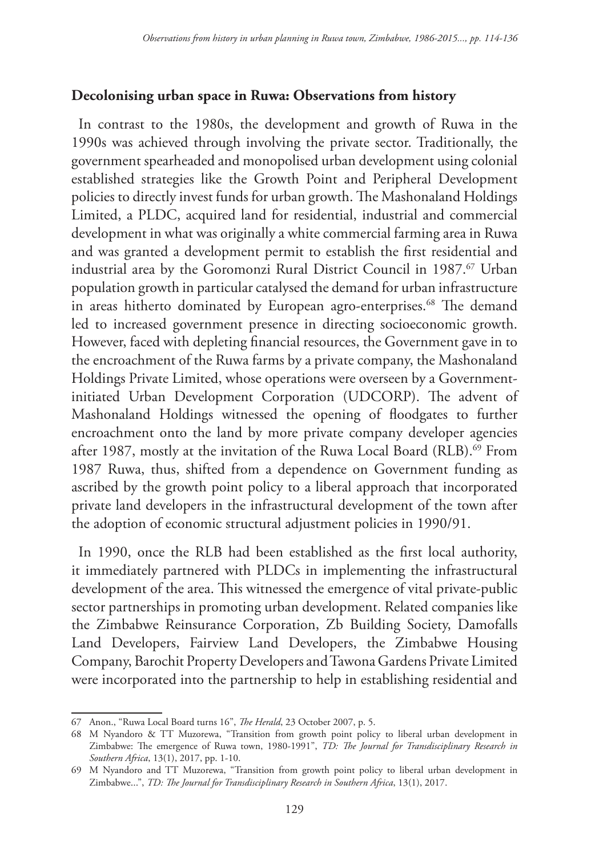### **Decolonising urban space in Ruwa: Observations from history**

In contrast to the 1980s, the development and growth of Ruwa in the 1990s was achieved through involving the private sector. Traditionally, the government spearheaded and monopolised urban development using colonial established strategies like the Growth Point and Peripheral Development policies to directly invest funds for urban growth. The Mashonaland Holdings Limited, a PLDC, acquired land for residential, industrial and commercial development in what was originally a white commercial farming area in Ruwa and was granted a development permit to establish the first residential and industrial area by the Goromonzi Rural District Council in 1987.<sup>67</sup> Urban population growth in particular catalysed the demand for urban infrastructure in areas hitherto dominated by European agro-enterprises.<sup>68</sup> The demand led to increased government presence in directing socioeconomic growth. However, faced with depleting financial resources, the Government gave in to the encroachment of the Ruwa farms by a private company, the Mashonaland Holdings Private Limited, whose operations were overseen by a Governmentinitiated Urban Development Corporation (UDCORP). The advent of Mashonaland Holdings witnessed the opening of floodgates to further encroachment onto the land by more private company developer agencies after 1987, mostly at the invitation of the Ruwa Local Board (RLB).<sup>69</sup> From 1987 Ruwa, thus, shifted from a dependence on Government funding as ascribed by the growth point policy to a liberal approach that incorporated private land developers in the infrastructural development of the town after the adoption of economic structural adjustment policies in 1990/91.

In 1990, once the RLB had been established as the first local authority, it immediately partnered with PLDCs in implementing the infrastructural development of the area. This witnessed the emergence of vital private-public sector partnerships in promoting urban development. Related companies like the Zimbabwe Reinsurance Corporation, Zb Building Society, Damofalls Land Developers, Fairview Land Developers, the Zimbabwe Housing Company, Barochit Property Developers and Tawona Gardens Private Limited were incorporated into the partnership to help in establishing residential and

<sup>67</sup> Anon., "Ruwa Local Board turns 16", *The Herald*, 23 October 2007, p. 5.

<sup>68</sup> M Nyandoro & TT Muzorewa, "Transition from growth point policy to liberal urban development in Zimbabwe: The emergence of Ruwa town, 1980-1991", *TD: The Journal for Transdisciplinary Research in Southern Africa*, 13(1), 2017, pp. 1-10.

<sup>69</sup> M Nyandoro and TT Muzorewa, "Transition from growth point policy to liberal urban development in Zimbabwe...", *TD: The Journal for Transdisciplinary Research in Southern Africa*, 13(1), 2017.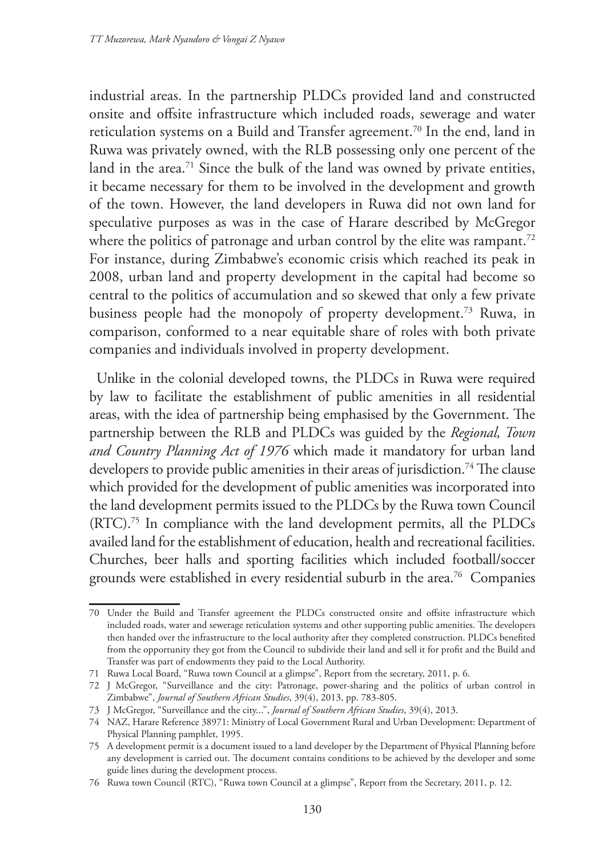industrial areas. In the partnership PLDCs provided land and constructed onsite and offsite infrastructure which included roads, sewerage and water reticulation systems on a Build and Transfer agreement.<sup>70</sup> In the end, land in Ruwa was privately owned, with the RLB possessing only one percent of the land in the area.<sup>71</sup> Since the bulk of the land was owned by private entities, it became necessary for them to be involved in the development and growth of the town. However, the land developers in Ruwa did not own land for speculative purposes as was in the case of Harare described by McGregor where the politics of patronage and urban control by the elite was rampant.<sup>72</sup> For instance, during Zimbabwe's economic crisis which reached its peak in 2008, urban land and property development in the capital had become so central to the politics of accumulation and so skewed that only a few private business people had the monopoly of property development.73 Ruwa, in comparison, conformed to a near equitable share of roles with both private companies and individuals involved in property development.

Unlike in the colonial developed towns, the PLDCs in Ruwa were required by law to facilitate the establishment of public amenities in all residential areas, with the idea of partnership being emphasised by the Government. The partnership between the RLB and PLDCs was guided by the *Regional, Town and Country Planning Act of 1976* which made it mandatory for urban land developers to provide public amenities in their areas of jurisdiction.<sup>74</sup> The clause which provided for the development of public amenities was incorporated into the land development permits issued to the PLDCs by the Ruwa town Council (RTC).75 In compliance with the land development permits, all the PLDCs availed land for the establishment of education, health and recreational facilities. Churches, beer halls and sporting facilities which included football/soccer grounds were established in every residential suburb in the area.76 Companies

<sup>70</sup> Under the Build and Transfer agreement the PLDCs constructed onsite and offsite infrastructure which included roads, water and sewerage reticulation systems and other supporting public amenities. The developers then handed over the infrastructure to the local authority after they completed construction. PLDCs benefited from the opportunity they got from the Council to subdivide their land and sell it for profit and the Build and Transfer was part of endowments they paid to the Local Authority.

<sup>71</sup> Ruwa Local Board, "Ruwa town Council at a glimpse", Report from the secretary, 2011, p. 6.

<sup>72</sup> J McGregor, "Surveillance and the city: Patronage, power-sharing and the politics of urban control in Zimbabwe", *Journal of Southern African Studies*, 39(4), 2013, pp. 783-805.

<sup>73</sup> J McGregor, "Surveillance and the city...", *Journal of Southern African Studies*, 39(4), 2013.

<sup>74</sup> NAZ, Harare Reference 38971: Ministry of Local Government Rural and Urban Development: Department of Physical Planning pamphlet, 1995.

<sup>75</sup> A development permit is a document issued to a land developer by the Department of Physical Planning before any development is carried out. The document contains conditions to be achieved by the developer and some guide lines during the development process.

<sup>76</sup> Ruwa town Council (RTC), "Ruwa town Council at a glimpse", Report from the Secretary, 2011, p. 12.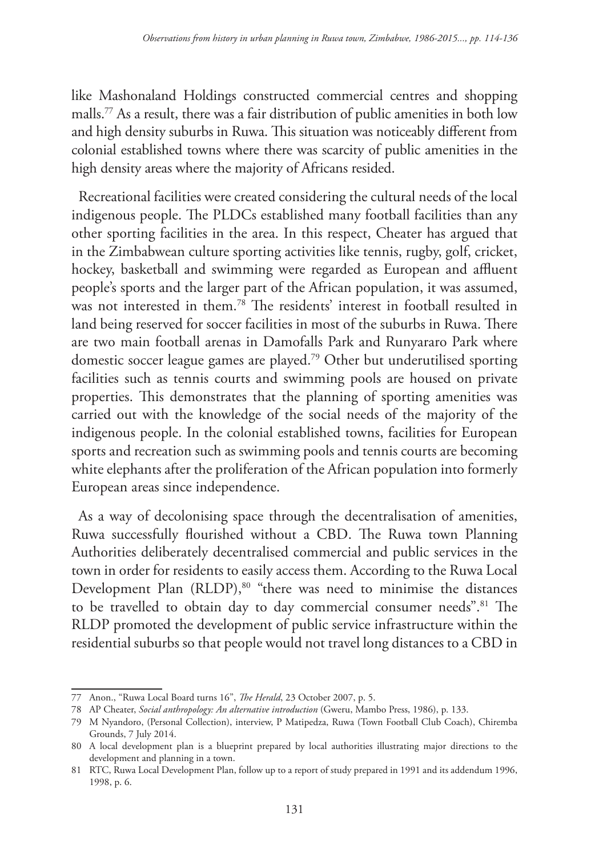like Mashonaland Holdings constructed commercial centres and shopping malls.77 As a result, there was a fair distribution of public amenities in both low and high density suburbs in Ruwa. This situation was noticeably different from colonial established towns where there was scarcity of public amenities in the high density areas where the majority of Africans resided.

Recreational facilities were created considering the cultural needs of the local indigenous people. The PLDCs established many football facilities than any other sporting facilities in the area. In this respect, Cheater has argued that in the Zimbabwean culture sporting activities like tennis, rugby, golf, cricket, hockey, basketball and swimming were regarded as European and affluent people's sports and the larger part of the African population, it was assumed, was not interested in them.78 The residents' interest in football resulted in land being reserved for soccer facilities in most of the suburbs in Ruwa. There are two main football arenas in Damofalls Park and Runyararo Park where domestic soccer league games are played.79 Other but underutilised sporting facilities such as tennis courts and swimming pools are housed on private properties. This demonstrates that the planning of sporting amenities was carried out with the knowledge of the social needs of the majority of the indigenous people. In the colonial established towns, facilities for European sports and recreation such as swimming pools and tennis courts are becoming white elephants after the proliferation of the African population into formerly European areas since independence.

As a way of decolonising space through the decentralisation of amenities, Ruwa successfully flourished without a CBD. The Ruwa town Planning Authorities deliberately decentralised commercial and public services in the town in order for residents to easily access them. According to the Ruwa Local Development Plan (RLDP),<sup>80</sup> "there was need to minimise the distances to be travelled to obtain day to day commercial consumer needs".81 The RLDP promoted the development of public service infrastructure within the residential suburbs so that people would not travel long distances to a CBD in

<sup>77</sup> Anon., "Ruwa Local Board turns 16", *The Herald*, 23 October 2007, p. 5.

<sup>78</sup> AP Cheater, *Social anthropology: An alternative introduction* (Gweru, Mambo Press, 1986), p. 133.

<sup>79</sup> M Nyandoro, (Personal Collection), interview, P Matipedza, Ruwa (Town Football Club Coach), Chiremba Grounds, 7 July 2014.

<sup>80</sup> A local development plan is a blueprint prepared by local authorities illustrating major directions to the development and planning in a town.

<sup>81</sup> RTC, Ruwa Local Development Plan, follow up to a report of study prepared in 1991 and its addendum 1996, 1998, p. 6.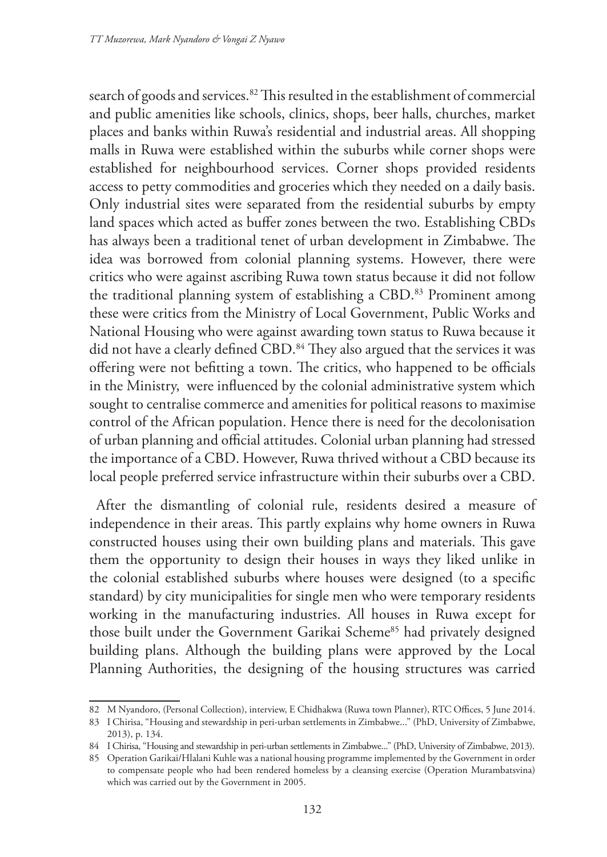search of goods and services.<sup>82</sup> This resulted in the establishment of commercial and public amenities like schools, clinics, shops, beer halls, churches, market places and banks within Ruwa's residential and industrial areas. All shopping malls in Ruwa were established within the suburbs while corner shops were established for neighbourhood services. Corner shops provided residents access to petty commodities and groceries which they needed on a daily basis. Only industrial sites were separated from the residential suburbs by empty land spaces which acted as buffer zones between the two. Establishing CBDs has always been a traditional tenet of urban development in Zimbabwe. The idea was borrowed from colonial planning systems. However, there were critics who were against ascribing Ruwa town status because it did not follow the traditional planning system of establishing a CBD.<sup>83</sup> Prominent among these were critics from the Ministry of Local Government, Public Works and National Housing who were against awarding town status to Ruwa because it did not have a clearly defined CBD.<sup>84</sup> They also argued that the services it was offering were not befitting a town. The critics, who happened to be officials in the Ministry, were influenced by the colonial administrative system which sought to centralise commerce and amenities for political reasons to maximise control of the African population. Hence there is need for the decolonisation of urban planning and official attitudes. Colonial urban planning had stressed the importance of a CBD. However, Ruwa thrived without a CBD because its local people preferred service infrastructure within their suburbs over a CBD.

After the dismantling of colonial rule, residents desired a measure of independence in their areas. This partly explains why home owners in Ruwa constructed houses using their own building plans and materials. This gave them the opportunity to design their houses in ways they liked unlike in the colonial established suburbs where houses were designed (to a specific standard) by city municipalities for single men who were temporary residents working in the manufacturing industries. All houses in Ruwa except for those built under the Government Garikai Scheme<sup>85</sup> had privately designed building plans. Although the building plans were approved by the Local Planning Authorities, the designing of the housing structures was carried

<sup>82</sup> M Nyandoro, (Personal Collection), interview, E Chidhakwa (Ruwa town Planner), RTC Offices, 5 June 2014.

<sup>83</sup> I Chirisa, "Housing and stewardship in peri-urban settlements in Zimbabwe..." (PhD, University of Zimbabwe, 2013), p. 134.

<sup>84</sup> I Chirisa, "Housing and stewardship in peri-urban settlements in Zimbabwe..." (PhD, University of Zimbabwe, 2013).

<sup>85</sup> Operation Garikai/Hlalani Kuhle was a national housing programme implemented by the Government in order to compensate people who had been rendered homeless by a cleansing exercise (Operation Murambatsvina) which was carried out by the Government in 2005.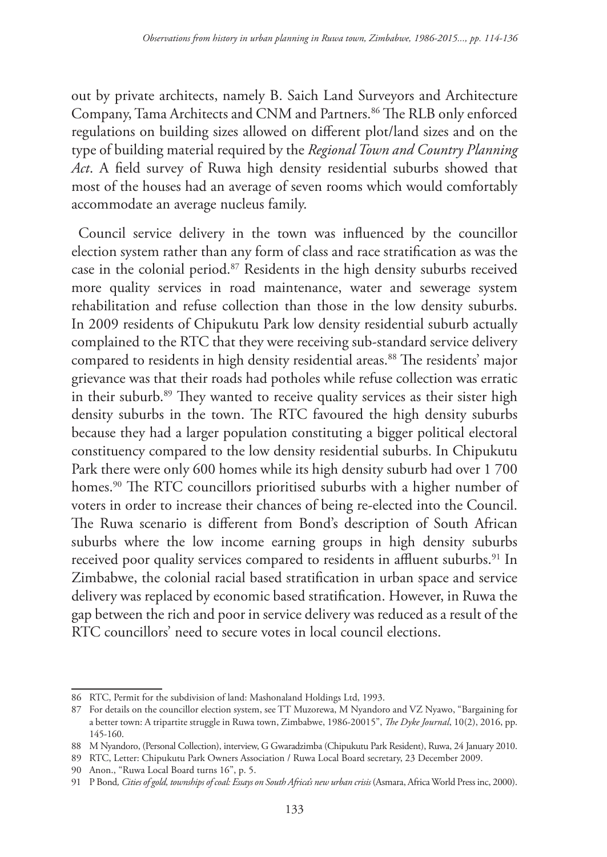out by private architects, namely B. Saich Land Surveyors and Architecture Company, Tama Architects and CNM and Partners.<sup>86</sup> The RLB only enforced regulations on building sizes allowed on different plot/land sizes and on the type of building material required by the *Regional Town and Country Planning Act*. A field survey of Ruwa high density residential suburbs showed that most of the houses had an average of seven rooms which would comfortably accommodate an average nucleus family.

Council service delivery in the town was influenced by the councillor election system rather than any form of class and race stratification as was the case in the colonial period.87 Residents in the high density suburbs received more quality services in road maintenance, water and sewerage system rehabilitation and refuse collection than those in the low density suburbs. In 2009 residents of Chipukutu Park low density residential suburb actually complained to the RTC that they were receiving sub-standard service delivery compared to residents in high density residential areas.<sup>88</sup> The residents' major grievance was that their roads had potholes while refuse collection was erratic in their suburb.<sup>89</sup> They wanted to receive quality services as their sister high density suburbs in the town. The RTC favoured the high density suburbs because they had a larger population constituting a bigger political electoral constituency compared to the low density residential suburbs. In Chipukutu Park there were only 600 homes while its high density suburb had over 1 700 homes.<sup>90</sup> The RTC councillors prioritised suburbs with a higher number of voters in order to increase their chances of being re-elected into the Council. The Ruwa scenario is different from Bond's description of South African suburbs where the low income earning groups in high density suburbs received poor quality services compared to residents in affluent suburbs.<sup>91</sup> In Zimbabwe, the colonial racial based stratification in urban space and service delivery was replaced by economic based stratification. However, in Ruwa the gap between the rich and poor in service delivery was reduced as a result of the RTC councillors' need to secure votes in local council elections.

<sup>86</sup> RTC, Permit for the subdivision of land: Mashonaland Holdings Ltd, 1993.

<sup>87</sup> For details on the councillor election system, see TT Muzorewa, M Nyandoro and VZ Nyawo, "Bargaining for a better town: A tripartite struggle in Ruwa town, Zimbabwe, 1986-20015", *The Dyke Journal*, 10(2), 2016, pp. 145-160.

<sup>88</sup> M Nyandoro, (Personal Collection), interview, G Gwaradzimba (Chipukutu Park Resident), Ruwa, 24 January 2010.

<sup>89</sup> RTC, Letter: Chipukutu Park Owners Association / Ruwa Local Board secretary, 23 December 2009.

<sup>90</sup> Anon., "Ruwa Local Board turns 16", p. 5.

<sup>91</sup> P Bond*, Cities of gold, townships of coal: Essays on South Africa's new urban crisis* (Asmara, Africa World Press inc, 2000).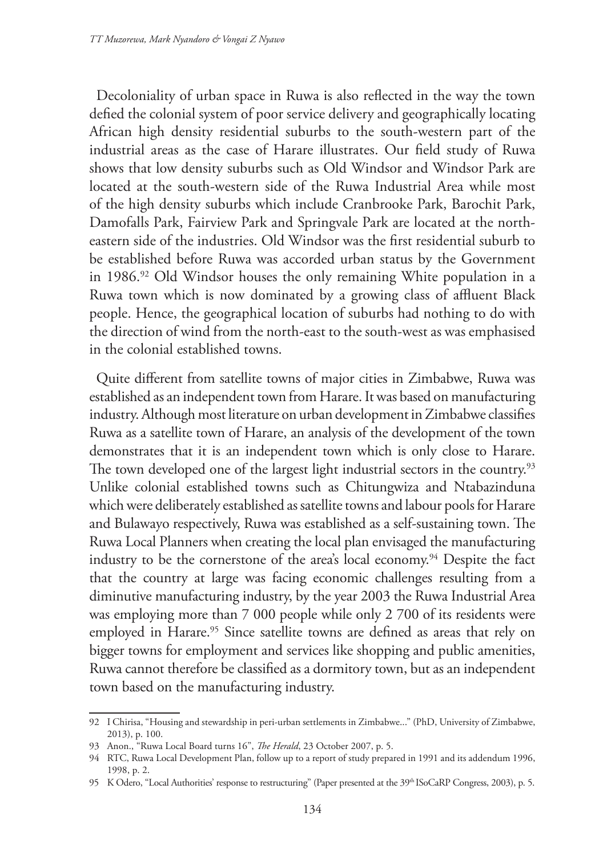Decoloniality of urban space in Ruwa is also reflected in the way the town defied the colonial system of poor service delivery and geographically locating African high density residential suburbs to the south-western part of the industrial areas as the case of Harare illustrates. Our field study of Ruwa shows that low density suburbs such as Old Windsor and Windsor Park are located at the south-western side of the Ruwa Industrial Area while most of the high density suburbs which include Cranbrooke Park, Barochit Park, Damofalls Park, Fairview Park and Springvale Park are located at the northeastern side of the industries. Old Windsor was the first residential suburb to be established before Ruwa was accorded urban status by the Government in 1986.92 Old Windsor houses the only remaining White population in a Ruwa town which is now dominated by a growing class of affluent Black people. Hence, the geographical location of suburbs had nothing to do with the direction of wind from the north-east to the south-west as was emphasised in the colonial established towns.

Quite different from satellite towns of major cities in Zimbabwe, Ruwa was established as an independent town from Harare. It was based on manufacturing industry. Although most literature on urban development in Zimbabwe classifies Ruwa as a satellite town of Harare, an analysis of the development of the town demonstrates that it is an independent town which is only close to Harare. The town developed one of the largest light industrial sectors in the country.<sup>93</sup> Unlike colonial established towns such as Chitungwiza and Ntabazinduna which were deliberately established as satellite towns and labour pools for Harare and Bulawayo respectively, Ruwa was established as a self-sustaining town. The Ruwa Local Planners when creating the local plan envisaged the manufacturing industry to be the cornerstone of the area's local economy.94 Despite the fact that the country at large was facing economic challenges resulting from a diminutive manufacturing industry, by the year 2003 the Ruwa Industrial Area was employing more than 7 000 people while only 2 700 of its residents were employed in Harare.<sup>95</sup> Since satellite towns are defined as areas that rely on bigger towns for employment and services like shopping and public amenities, Ruwa cannot therefore be classified as a dormitory town, but as an independent town based on the manufacturing industry.

<sup>92</sup> I Chirisa, "Housing and stewardship in peri-urban settlements in Zimbabwe..." (PhD, University of Zimbabwe, 2013), p. 100.

<sup>93</sup> Anon., "Ruwa Local Board turns 16", *The Herald*, 23 October 2007, p. 5.

<sup>94</sup> RTC, Ruwa Local Development Plan, follow up to a report of study prepared in 1991 and its addendum 1996, 1998, p. 2.

<sup>95</sup> K Odero, "Local Authorities' response to restructuring" (Paper presented at the 39th ISoCaRP Congress, 2003), p. 5.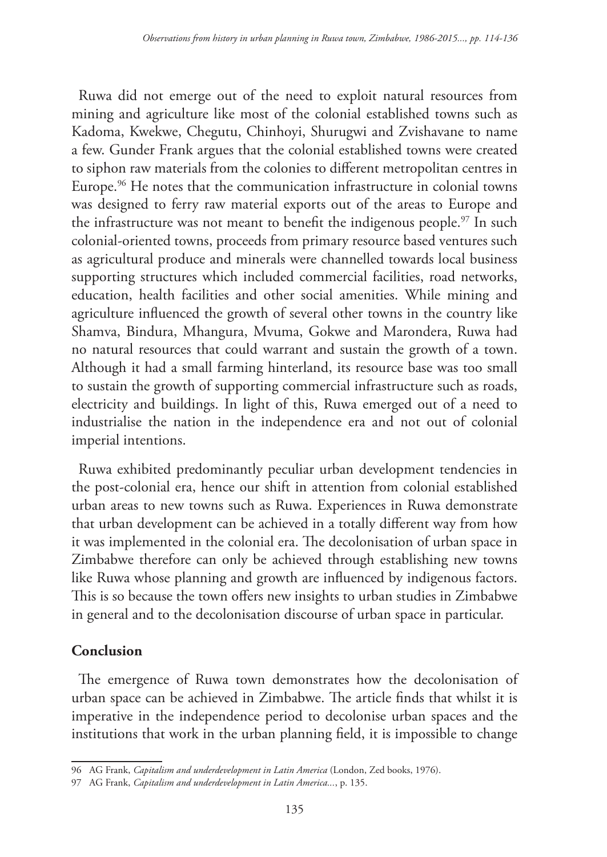Ruwa did not emerge out of the need to exploit natural resources from mining and agriculture like most of the colonial established towns such as Kadoma, Kwekwe, Chegutu, Chinhoyi, Shurugwi and Zvishavane to name a few. Gunder Frank argues that the colonial established towns were created to siphon raw materials from the colonies to different metropolitan centres in Europe.96 He notes that the communication infrastructure in colonial towns was designed to ferry raw material exports out of the areas to Europe and the infrastructure was not meant to benefit the indigenous people.<sup>97</sup> In such colonial-oriented towns, proceeds from primary resource based ventures such as agricultural produce and minerals were channelled towards local business supporting structures which included commercial facilities, road networks, education, health facilities and other social amenities. While mining and agriculture influenced the growth of several other towns in the country like Shamva, Bindura, Mhangura, Mvuma, Gokwe and Marondera, Ruwa had no natural resources that could warrant and sustain the growth of a town. Although it had a small farming hinterland, its resource base was too small to sustain the growth of supporting commercial infrastructure such as roads, electricity and buildings. In light of this, Ruwa emerged out of a need to industrialise the nation in the independence era and not out of colonial imperial intentions.

Ruwa exhibited predominantly peculiar urban development tendencies in the post-colonial era, hence our shift in attention from colonial established urban areas to new towns such as Ruwa. Experiences in Ruwa demonstrate that urban development can be achieved in a totally different way from how it was implemented in the colonial era. The decolonisation of urban space in Zimbabwe therefore can only be achieved through establishing new towns like Ruwa whose planning and growth are influenced by indigenous factors. This is so because the town offers new insights to urban studies in Zimbabwe in general and to the decolonisation discourse of urban space in particular.

## **Conclusion**

The emergence of Ruwa town demonstrates how the decolonisation of urban space can be achieved in Zimbabwe. The article finds that whilst it is imperative in the independence period to decolonise urban spaces and the institutions that work in the urban planning field, it is impossible to change

<sup>96</sup> AG Frank, *Capitalism and underdevelopment in Latin America* (London, Zed books, 1976).

<sup>97</sup> AG Frank, *Capitalism and underdevelopment in Latin America...*, p. 135.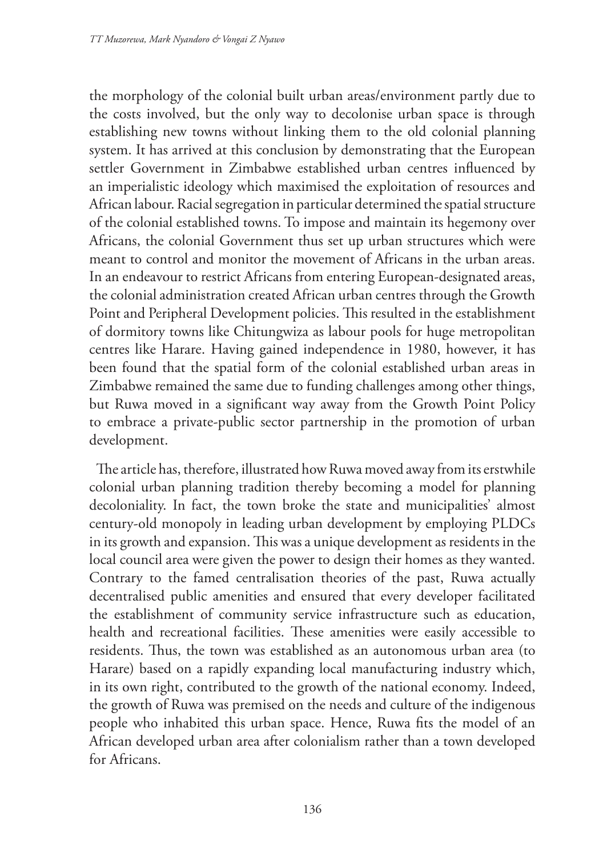the morphology of the colonial built urban areas/environment partly due to the costs involved, but the only way to decolonise urban space is through establishing new towns without linking them to the old colonial planning system. It has arrived at this conclusion by demonstrating that the European settler Government in Zimbabwe established urban centres influenced by an imperialistic ideology which maximised the exploitation of resources and African labour. Racial segregation in particular determined the spatial structure of the colonial established towns. To impose and maintain its hegemony over Africans, the colonial Government thus set up urban structures which were meant to control and monitor the movement of Africans in the urban areas. In an endeavour to restrict Africans from entering European-designated areas, the colonial administration created African urban centres through the Growth Point and Peripheral Development policies. This resulted in the establishment of dormitory towns like Chitungwiza as labour pools for huge metropolitan centres like Harare. Having gained independence in 1980, however, it has been found that the spatial form of the colonial established urban areas in Zimbabwe remained the same due to funding challenges among other things, but Ruwa moved in a significant way away from the Growth Point Policy to embrace a private-public sector partnership in the promotion of urban development.

The article has, therefore, illustrated how Ruwa moved away from its erstwhile colonial urban planning tradition thereby becoming a model for planning decoloniality. In fact, the town broke the state and municipalities' almost century-old monopoly in leading urban development by employing PLDCs in its growth and expansion. This was a unique development as residents in the local council area were given the power to design their homes as they wanted. Contrary to the famed centralisation theories of the past, Ruwa actually decentralised public amenities and ensured that every developer facilitated the establishment of community service infrastructure such as education, health and recreational facilities. These amenities were easily accessible to residents. Thus, the town was established as an autonomous urban area (to Harare) based on a rapidly expanding local manufacturing industry which, in its own right, contributed to the growth of the national economy. Indeed, the growth of Ruwa was premised on the needs and culture of the indigenous people who inhabited this urban space. Hence, Ruwa fits the model of an African developed urban area after colonialism rather than a town developed for Africans.